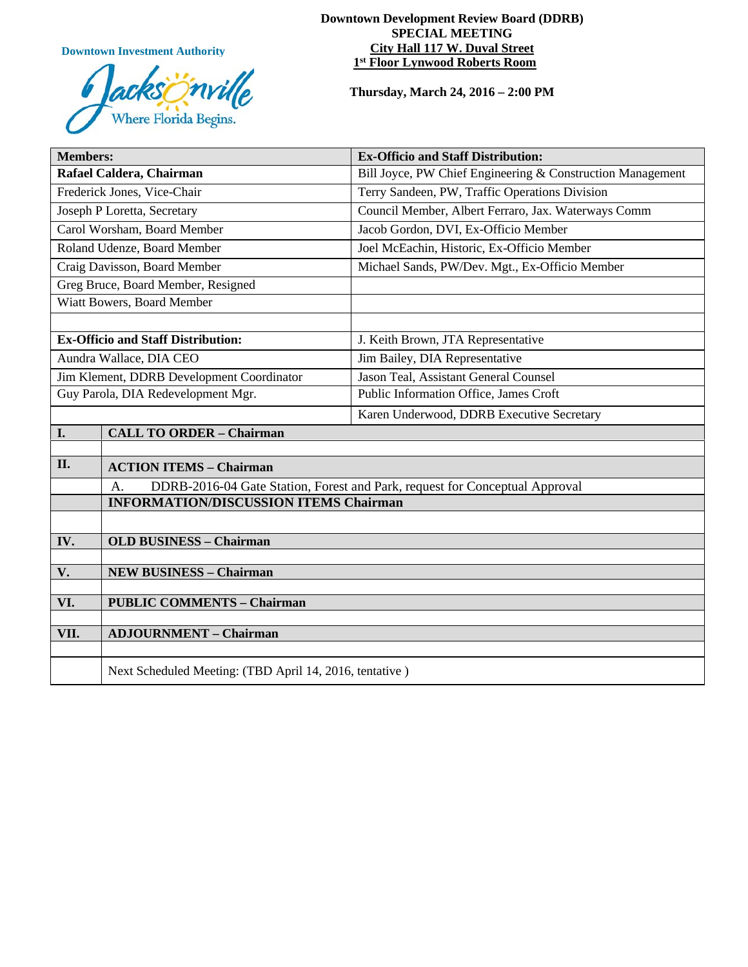**Downtown Investment Authority**



#### **Downtown Development Review Board (DDRB) SPECIAL MEETING City Hall 117 W. Duval Street 1st Floor Lynwood Roberts Room**

**Thursday, March 24, 2016 – 2:00 PM**

| <b>Members:</b>                           |                                                                                   | <b>Ex-Officio and Staff Distribution:</b>                  |
|-------------------------------------------|-----------------------------------------------------------------------------------|------------------------------------------------------------|
| Rafael Caldera, Chairman                  |                                                                                   | Bill Joyce, PW Chief Engineering & Construction Management |
| Frederick Jones, Vice-Chair               |                                                                                   | Terry Sandeen, PW, Traffic Operations Division             |
| Joseph P Loretta, Secretary               |                                                                                   | Council Member, Albert Ferraro, Jax. Waterways Comm        |
| Carol Worsham, Board Member               |                                                                                   | Jacob Gordon, DVI, Ex-Officio Member                       |
| Roland Udenze, Board Member               |                                                                                   | Joel McEachin, Historic, Ex-Officio Member                 |
| Craig Davisson, Board Member              |                                                                                   | Michael Sands, PW/Dev. Mgt., Ex-Officio Member             |
| Greg Bruce, Board Member, Resigned        |                                                                                   |                                                            |
| Wiatt Bowers, Board Member                |                                                                                   |                                                            |
|                                           |                                                                                   |                                                            |
| <b>Ex-Officio and Staff Distribution:</b> |                                                                                   | J. Keith Brown, JTA Representative                         |
| Aundra Wallace, DIA CEO                   |                                                                                   | Jim Bailey, DIA Representative                             |
| Jim Klement, DDRB Development Coordinator |                                                                                   | Jason Teal, Assistant General Counsel                      |
| Guy Parola, DIA Redevelopment Mgr.        |                                                                                   | Public Information Office, James Croft                     |
|                                           |                                                                                   | Karen Underwood, DDRB Executive Secretary                  |
| I.                                        | <b>CALL TO ORDER - Chairman</b>                                                   |                                                            |
|                                           |                                                                                   |                                                            |
| II.                                       | <b>ACTION ITEMS - Chairman</b>                                                    |                                                            |
|                                           | DDRB-2016-04 Gate Station, Forest and Park, request for Conceptual Approval<br>A. |                                                            |
|                                           | <b>INFORMATION/DISCUSSION ITEMS Chairman</b>                                      |                                                            |
|                                           |                                                                                   |                                                            |
| IV.                                       | <b>OLD BUSINESS - Chairman</b>                                                    |                                                            |
|                                           |                                                                                   |                                                            |
| V.                                        | <b>NEW BUSINESS - Chairman</b>                                                    |                                                            |
| VI.                                       | <b>PUBLIC COMMENTS - Chairman</b>                                                 |                                                            |
|                                           |                                                                                   |                                                            |
| VII.                                      | <b>ADJOURNMENT - Chairman</b>                                                     |                                                            |
|                                           |                                                                                   |                                                            |
|                                           | Next Scheduled Meeting: (TBD April 14, 2016, tentative)                           |                                                            |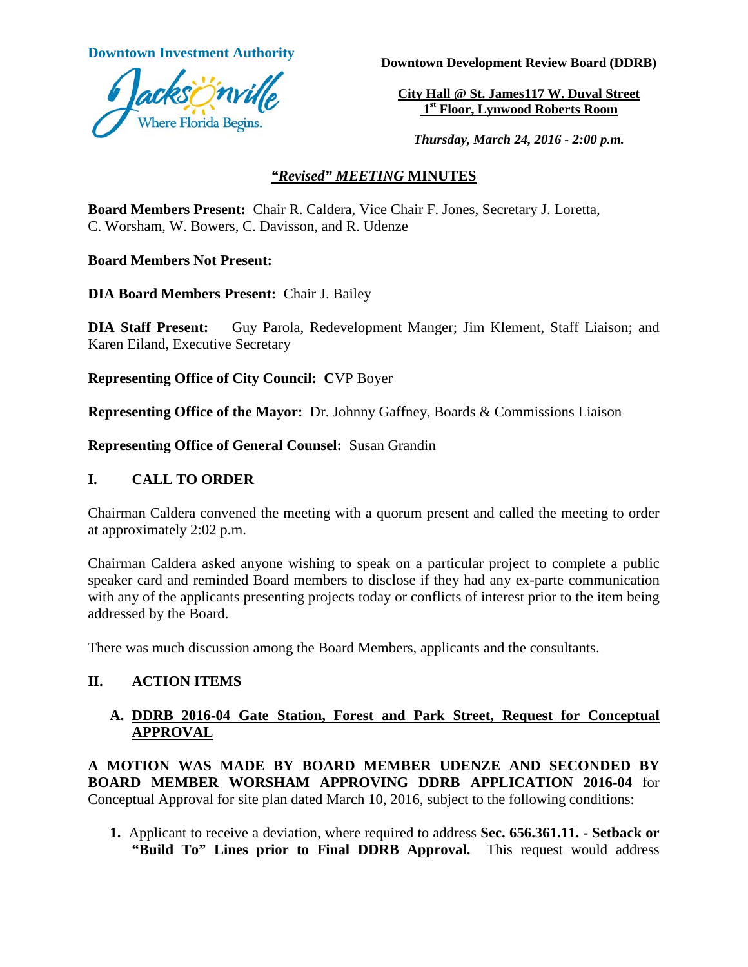

**Downtown Investment Authority Downtown Development Review Board (DDRB)** 

**City Hall @ St. James117 W. Duval Street 1st Floor, Lynwood Roberts Room**

*Thursday, March 24, 2016 - 2:00 p.m.*

### *"Revised" MEETING* **MINUTES**

**Board Members Present:** Chair R. Caldera, Vice Chair F. Jones, Secretary J. Loretta, C. Worsham, W. Bowers, C. Davisson, and R. Udenze

**Board Members Not Present:**

**DIA Board Members Present:** Chair J. Bailey

**DIA Staff Present:** Guy Parola, Redevelopment Manger; Jim Klement, Staff Liaison; and Karen Eiland, Executive Secretary

**Representing Office of City Council: C**VP Boyer

**Representing Office of the Mayor:** Dr. Johnny Gaffney, Boards & Commissions Liaison

**Representing Office of General Counsel:** Susan Grandin

#### **I. CALL TO ORDER**

Chairman Caldera convened the meeting with a quorum present and called the meeting to order at approximately 2:02 p.m.

Chairman Caldera asked anyone wishing to speak on a particular project to complete a public speaker card and reminded Board members to disclose if they had any ex-parte communication with any of the applicants presenting projects today or conflicts of interest prior to the item being addressed by the Board.

There was much discussion among the Board Members, applicants and the consultants.

### **II. ACTION ITEMS**

## **A. DDRB 2016-04 Gate Station, Forest and Park Street, Request for Conceptual APPROVAL**

**A MOTION WAS MADE BY BOARD MEMBER UDENZE AND SECONDED BY BOARD MEMBER WORSHAM APPROVING DDRB APPLICATION 2016-04** for Conceptual Approval for site plan dated March 10, 2016, subject to the following conditions:

**1.** Applicant to receive a deviation, where required to address **Sec. 656.361.11. - Setback or "Build To" Lines prior to Final DDRB Approval.** This request would address